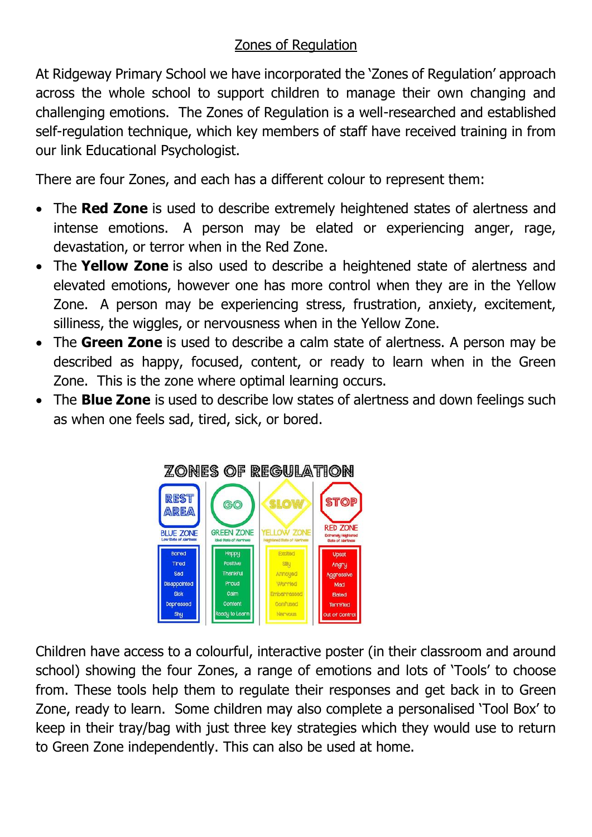## Zones of Regulation

At Ridgeway Primary School we have incorporated the 'Zones of Regulation' approach across the whole school to support children to manage their own changing and challenging emotions. The Zones of Regulation is a well-researched and established self-regulation technique, which key members of staff have received training in from our link Educational Psychologist.

There are four Zones, and each has a different colour to represent them:

- The **Red Zone** is used to describe extremely heightened states of alertness and intense emotions. A person may be elated or experiencing anger, rage, devastation, or terror when in the Red Zone.
- The **Yellow Zone** is also used to describe a heightened state of alertness and elevated emotions, however one has more control when they are in the Yellow Zone. A person may be experiencing stress, frustration, anxiety, excitement, silliness, the wiggles, or nervousness when in the Yellow Zone.
- The **Green Zone** is used to describe a calm state of alertness. A person may be described as happy, focused, content, or ready to learn when in the Green Zone. This is the zone where optimal learning occurs.
- The **Blue Zone** is used to describe low states of alertness and down feelings such as when one feels sad, tired, sick, or bored.



Children have access to a colourful, interactive poster (in their classroom and around school) showing the four Zones, a range of emotions and lots of 'Tools' to choose from. These tools help them to regulate their responses and get back in to Green Zone, ready to learn. Some children may also complete a personalised 'Tool Box' to keep in their tray/bag with just three key strategies which they would use to return to Green Zone independently. This can also be used at home.